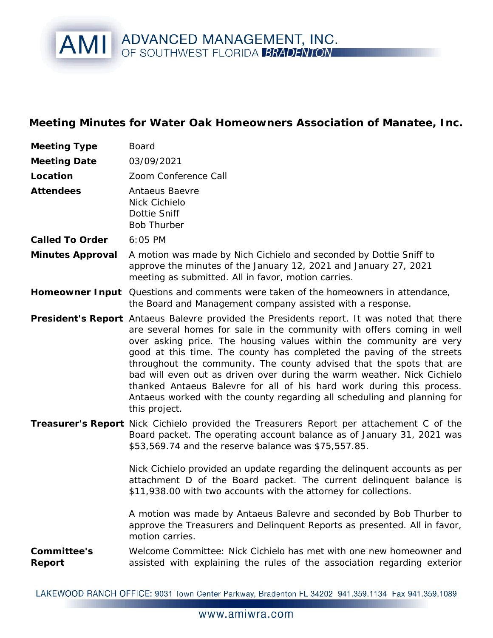## AMI ADVANCED MANAGEMENT, INC.

**Meeting Minutes for Water Oak Homeowners Association of Manatee, Inc.**

| 03/09/2021<br>Zoom Conference Call<br>Antaeus Baevre<br>Nick Cichielo<br>Dottie Sniff<br><b>Bob Thurber</b><br>6:05 PM<br>A motion was made by Nich Cichielo and seconded by Dottie Sniff to<br>approve the minutes of the January 12, 2021 and January 27, 2021<br>meeting as submitted. All in favor, motion carries.<br>Homeowner Input Questions and comments were taken of the homeowners in attendance,<br>the Board and Management company assisted with a response.<br>President's Report Antaeus Balevre provided the Presidents report. It was noted that there<br>are several homes for sale in the community with offers coming in well<br>over asking price. The housing values within the community are very<br>good at this time. The county has completed the paving of the streets<br>throughout the community. The county advised that the spots that are<br>bad will even out as driven over during the warm weather. Nick Cichielo<br>thanked Antaeus Balevre for all of his hard work during this process.<br>Antaeus worked with the county regarding all scheduling and planning for<br>this project.<br>Treasurer's Report Nick Cichielo provided the Treasurers Report per attachement C of the<br>Board packet. The operating account balance as of January 31, 2021 was<br>\$53,569.74 and the reserve balance was \$75,557.85.<br>Nick Cichielo provided an update regarding the delinquent accounts as per<br>attachment D of the Board packet. The current delinquent balance is<br>\$11,938.00 with two accounts with the attorney for collections.<br>A motion was made by Antaeus Balevre and seconded by Bob Thurber to<br>approve the Treasurers and Delinquent Reports as presented. All in favor,<br>motion carries.<br>Welcome Committee: Nick Cichielo has met with one new homeowner and<br>assisted with explaining the rules of the association regarding exterior | Meeting Type          | <b>Board</b> |
|--------------------------------------------------------------------------------------------------------------------------------------------------------------------------------------------------------------------------------------------------------------------------------------------------------------------------------------------------------------------------------------------------------------------------------------------------------------------------------------------------------------------------------------------------------------------------------------------------------------------------------------------------------------------------------------------------------------------------------------------------------------------------------------------------------------------------------------------------------------------------------------------------------------------------------------------------------------------------------------------------------------------------------------------------------------------------------------------------------------------------------------------------------------------------------------------------------------------------------------------------------------------------------------------------------------------------------------------------------------------------------------------------------------------------------------------------------------------------------------------------------------------------------------------------------------------------------------------------------------------------------------------------------------------------------------------------------------------------------------------------------------------------------------------------------------------------------------------------------------------------------------------------------------|-----------------------|--------------|
|                                                                                                                                                                                                                                                                                                                                                                                                                                                                                                                                                                                                                                                                                                                                                                                                                                                                                                                                                                                                                                                                                                                                                                                                                                                                                                                                                                                                                                                                                                                                                                                                                                                                                                                                                                                                                                                                                                              | <b>Meeting Date</b>   |              |
|                                                                                                                                                                                                                                                                                                                                                                                                                                                                                                                                                                                                                                                                                                                                                                                                                                                                                                                                                                                                                                                                                                                                                                                                                                                                                                                                                                                                                                                                                                                                                                                                                                                                                                                                                                                                                                                                                                              | Location              |              |
|                                                                                                                                                                                                                                                                                                                                                                                                                                                                                                                                                                                                                                                                                                                                                                                                                                                                                                                                                                                                                                                                                                                                                                                                                                                                                                                                                                                                                                                                                                                                                                                                                                                                                                                                                                                                                                                                                                              | Attendees             |              |
|                                                                                                                                                                                                                                                                                                                                                                                                                                                                                                                                                                                                                                                                                                                                                                                                                                                                                                                                                                                                                                                                                                                                                                                                                                                                                                                                                                                                                                                                                                                                                                                                                                                                                                                                                                                                                                                                                                              | Called To Order       |              |
|                                                                                                                                                                                                                                                                                                                                                                                                                                                                                                                                                                                                                                                                                                                                                                                                                                                                                                                                                                                                                                                                                                                                                                                                                                                                                                                                                                                                                                                                                                                                                                                                                                                                                                                                                                                                                                                                                                              | Minutes Approval      |              |
|                                                                                                                                                                                                                                                                                                                                                                                                                                                                                                                                                                                                                                                                                                                                                                                                                                                                                                                                                                                                                                                                                                                                                                                                                                                                                                                                                                                                                                                                                                                                                                                                                                                                                                                                                                                                                                                                                                              |                       |              |
|                                                                                                                                                                                                                                                                                                                                                                                                                                                                                                                                                                                                                                                                                                                                                                                                                                                                                                                                                                                                                                                                                                                                                                                                                                                                                                                                                                                                                                                                                                                                                                                                                                                                                                                                                                                                                                                                                                              |                       |              |
|                                                                                                                                                                                                                                                                                                                                                                                                                                                                                                                                                                                                                                                                                                                                                                                                                                                                                                                                                                                                                                                                                                                                                                                                                                                                                                                                                                                                                                                                                                                                                                                                                                                                                                                                                                                                                                                                                                              |                       |              |
|                                                                                                                                                                                                                                                                                                                                                                                                                                                                                                                                                                                                                                                                                                                                                                                                                                                                                                                                                                                                                                                                                                                                                                                                                                                                                                                                                                                                                                                                                                                                                                                                                                                                                                                                                                                                                                                                                                              | Committee's<br>Report |              |

LAKEWOOD RANCH OFFICE: 9031 Town Center Parkway, Bradenton FL 34202 941.359.1134 Fax 941.359.1089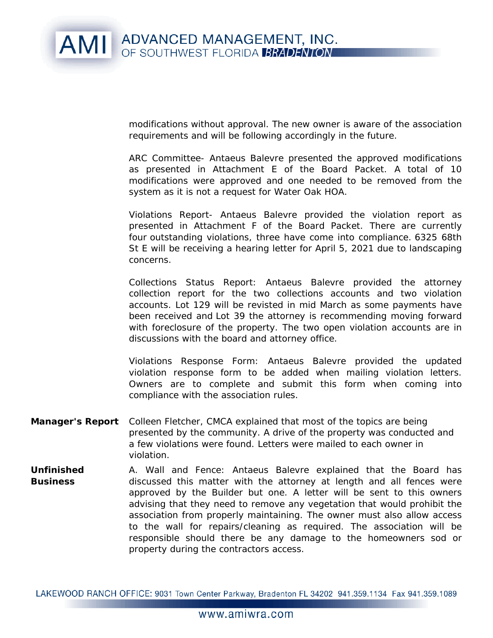

modifications without approval. The new owner is aware of the association requirements and will be following accordingly in the future.

ARC Committee- Antaeus Balevre presented the approved modifications as presented in Attachment E of the Board Packet. A total of 10 modifications were approved and one needed to be removed from the system as it is not a request for Water Oak HOA.

Violations Report- Antaeus Balevre provided the violation report as presented in Attachment F of the Board Packet. There are currently four outstanding violations, three have come into compliance. 6325 68th St E will be receiving a hearing letter for April 5, 2021 due to landscaping concerns.

Collections Status Report: Antaeus Balevre provided the attorney collection report for the two collections accounts and two violation accounts. Lot 129 will be revisted in mid March as some payments have been received and Lot 39 the attorney is recommending moving forward with foreclosure of the property. The two open violation accounts are in discussions with the board and attorney office.

Violations Response Form: Antaeus Balevre provided the updated violation response form to be added when mailing violation letters. Owners are to complete and submit this form when coming into compliance with the association rules.

- **Manager's Report** Colleen Fletcher, CMCA explained that most of the topics are being presented by the community. A drive of the property was conducted and a few violations were found. Letters were mailed to each owner in violation.
- **Unfinished** A. Wall and Fence: Antaeus Balevre explained that the Board has **Business** discussed this matter with the attorney at length and all fences were approved by the Builder but one. A letter will be sent to this owners advising that they need to remove any vegetation that would prohibit the association from properly maintaining. The owner must also allow access to the wall for repairs/cleaning as required. The association will be responsible should there be any damage to the homeowners sod or property during the contractors access.

LAKEWOOD RANCH OFFICE: 9031 Town Center Parkway, Bradenton FL 34202 941.359.1134 Fax 941.359.1089